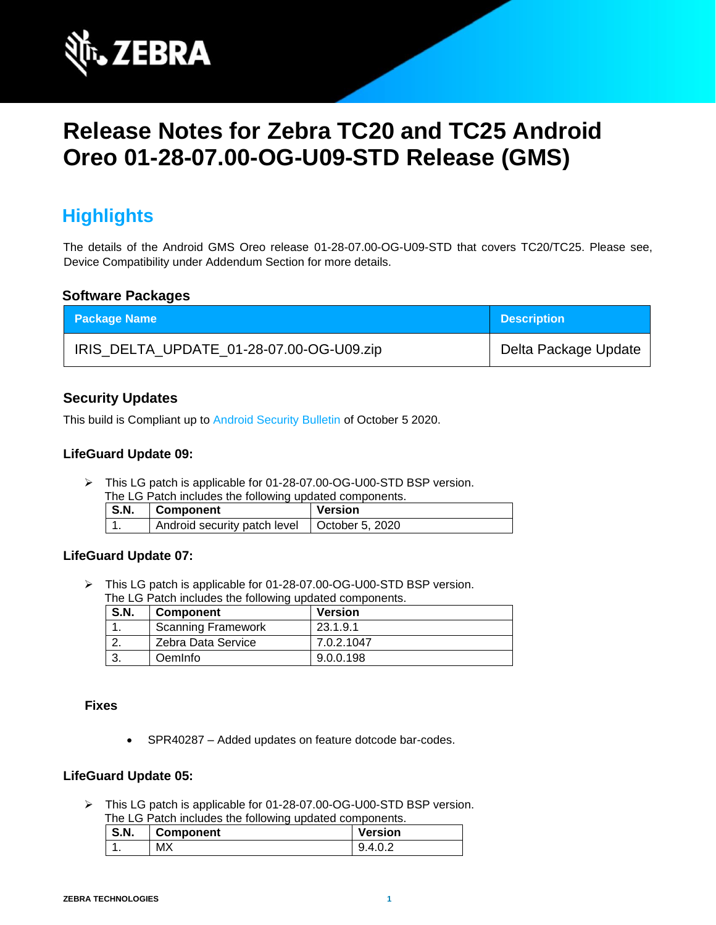

# **Release Notes for Zebra TC20 and TC25 Android Oreo 01-28-07.00-OG-U09-STD Release (GMS)**

# **Highlights**

The details of the Android GMS Oreo release 01-28-07.00-OG-U09-STD that covers TC20/TC25. Please see, Device Compatibility under Addendum Section for more details.

#### **Software Packages**

| <b>Package Name</b>                      | <b>Description</b>   |
|------------------------------------------|----------------------|
| IRIS_DELTA_UPDATE_01-28-07.00-OG-U09.zip | Delta Package Update |

### **Security Updates**

This build is Compliant up to [Android Security Bulletin](https://source.android.com/security/bulletin/) of October 5 2020.

#### **LifeGuard Update 09:**

➢ This LG patch is applicable for 01-28-07.00-OG-U00-STD BSP version. The LG Patch includes the following updated components.

| THE LOT AND HIGHAGES THE RUIDWING UPGARED COMPONEHIS. |                                                |         |
|-------------------------------------------------------|------------------------------------------------|---------|
| S.N.                                                  | <b>∣ Component</b>                             | Version |
|                                                       | Android security patch level   October 5, 2020 |         |

### **LifeGuard Update 07:**

➢ This LG patch is applicable for 01-28-07.00-OG-U00-STD BSP version. The LG Patch includes the following updated components.

| S.N. | <b>Component</b>          | <b>Version</b> |
|------|---------------------------|----------------|
|      | <b>Scanning Framework</b> | 23.1.9.1       |
|      | Zebra Data Service        | 7.0.2.1047     |
|      | Oeminfo                   | 9.0.0.198      |

#### **Fixes**

• SPR40287 – Added updates on feature dotcode bar-codes.

#### **LifeGuard Update 05:**

➢ This LG patch is applicable for 01-28-07.00-OG-U00-STD BSP version. The LG Patch includes the following updated components.

| S.N. | <b>Component</b> | <b>Version</b>          |
|------|------------------|-------------------------|
| . .  | МX               | $\Lambda$<br>ч<br>᠇.◡.∠ |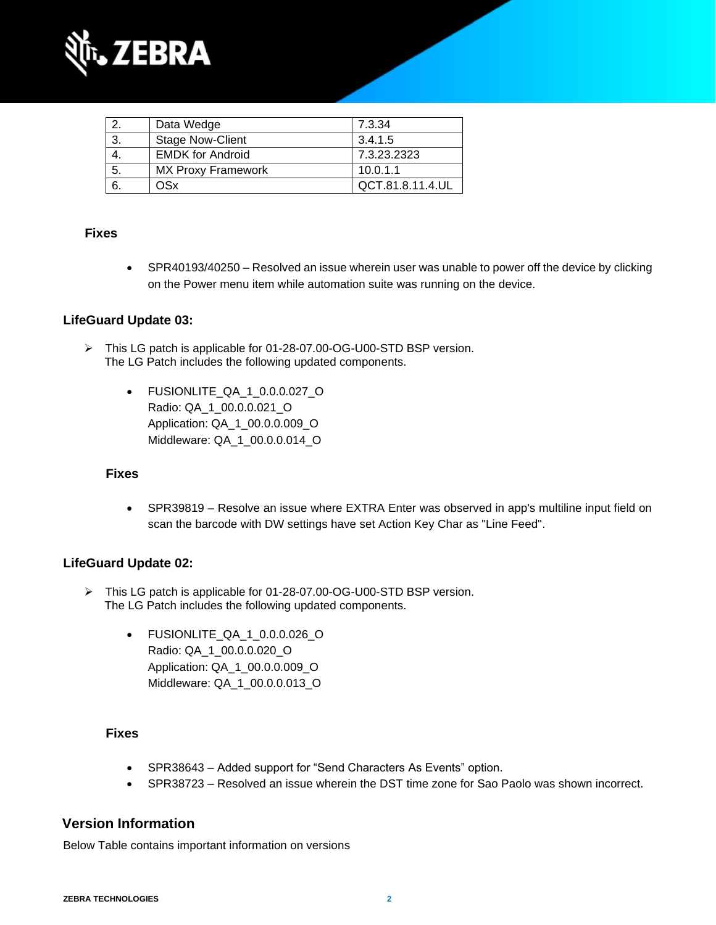

|     | Data Wedge                | 7.3.34           |
|-----|---------------------------|------------------|
| -3. | <b>Stage Now-Client</b>   | 3.4.1.5          |
|     | <b>EMDK for Android</b>   | 7.3.23.2323      |
| 5.  | <b>MX Proxy Framework</b> | 10.0.1.1         |
|     | OSx                       | QCT.81.8.11.4.UL |

### **Fixes**

• SPR40193/40250 – Resolved an issue wherein user was unable to power off the device by clicking on the Power menu item while automation suite was running on the device.

### **LifeGuard Update 03:**

- ➢ This LG patch is applicable for 01-28-07.00-OG-U00-STD BSP version. The LG Patch includes the following updated components.
	- FUSIONLITE\_QA\_1\_0.0.0.027\_O Radio: QA\_1\_00.0.0.021\_O Application: QA\_1\_00.0.0.009\_O Middleware: QA\_1\_00.0.0.014\_O

#### **Fixes**

• SPR39819 – Resolve an issue where EXTRA Enter was observed in app's multiline input field on scan the barcode with DW settings have set Action Key Char as "Line Feed".

#### **LifeGuard Update 02:**

- ➢ This LG patch is applicable for 01-28-07.00-OG-U00-STD BSP version. The LG Patch includes the following updated components.
	- FUSIONLITE\_QA\_1\_0.0.0.026\_O Radio: QA\_1\_00.0.0.020\_O Application: QA\_1\_00.0.0.009\_O Middleware: QA\_1\_00.0.0.013\_O

#### **Fixes**

- SPR38643 Added support for "Send Characters As Events" option.
- SPR38723 Resolved an issue wherein the DST time zone for Sao Paolo was shown incorrect.

### **Version Information**

Below Table contains important information on versions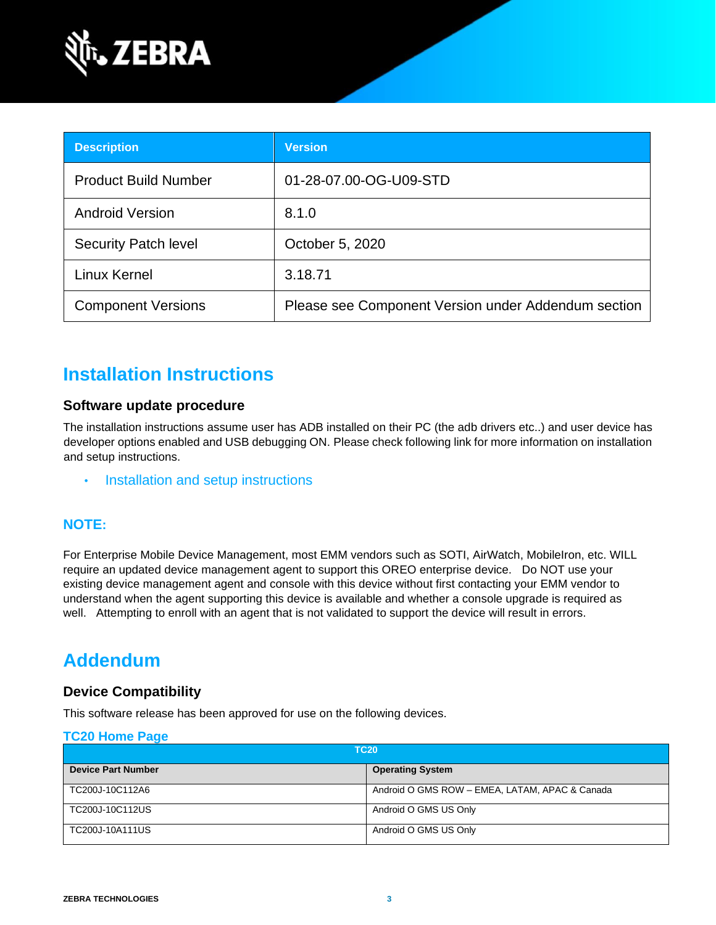

| <b>Description</b>          | <b>Version</b>                                      |
|-----------------------------|-----------------------------------------------------|
| <b>Product Build Number</b> | 01-28-07.00-OG-U09-STD                              |
| <b>Android Version</b>      | 8.1.0                                               |
| <b>Security Patch level</b> | October 5, 2020                                     |
| <b>Linux Kernel</b>         | 3.18.71                                             |
| <b>Component Versions</b>   | Please see Component Version under Addendum section |

# **Installation Instructions**

### **Software update procedure**

The installation instructions assume user has ADB installed on their PC (the adb drivers etc..) and user device has developer options enabled and USB debugging ON. Please check following link for more information on installation and setup instructions.

• [Installation and setup instructions](https://www.zebra.com/content/dam/zebra_new_ia/en-us/software/operating-system/tc20-operating-system/Android-O-OS-Update-TC20-and-TC25-GMS.pdf)

### **NOTE:**

For Enterprise Mobile Device Management, most EMM vendors such as SOTI, AirWatch, MobileIron, etc. WILL require an updated device management agent to support this OREO enterprise device. Do NOT use your existing device management agent and console with this device without first contacting your EMM vendor to understand when the agent supporting this device is available and whether a console upgrade is required as well. Attempting to enroll with an agent that is not validated to support the device will result in errors.

# **Addendum**

### **Device Compatibility**

This software release has been approved for use on the following devices.

#### **[TC20 Home Page](https://www.zebra.com/us/en/support-downloads/software/operating-system/tc20-operating-system.html)**

| <b>TC20</b>               |                                                |
|---------------------------|------------------------------------------------|
| <b>Device Part Number</b> | <b>Operating System</b>                        |
| TC200J-10C112A6           | Android O GMS ROW - EMEA, LATAM, APAC & Canada |
| TC200J-10C112US           | Android O GMS US Only                          |
| TC200J-10A111US           | Android O GMS US Only                          |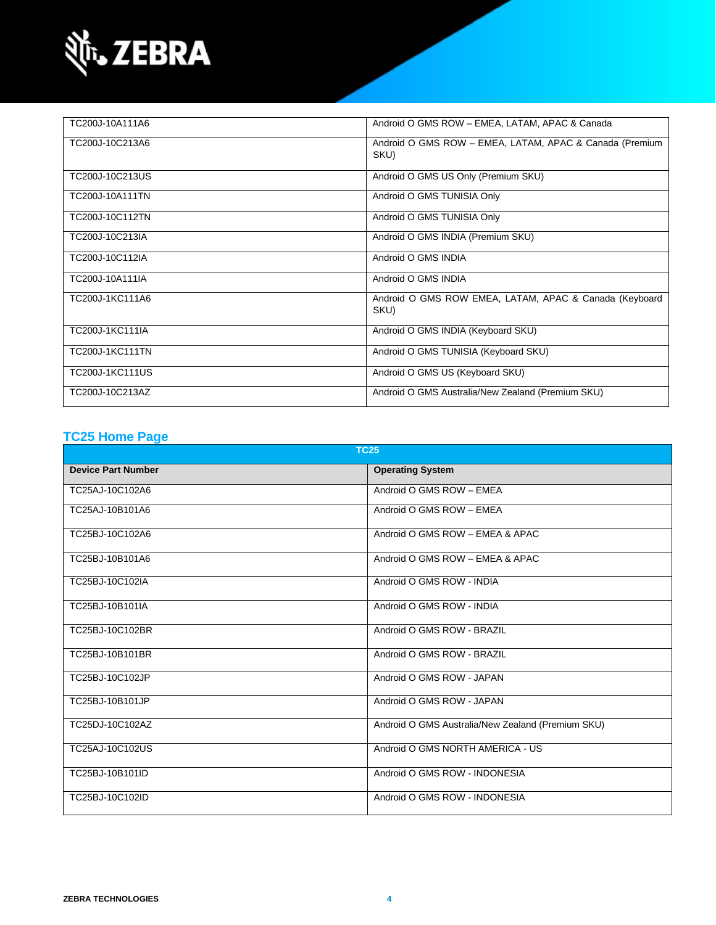

| TC200J-10A111A6        | Android O GMS ROW - EMEA, LATAM, APAC & Canada                  |
|------------------------|-----------------------------------------------------------------|
| TC200J-10C213A6        | Android O GMS ROW - EMEA, LATAM, APAC & Canada (Premium<br>SKU) |
| TC200J-10C213US        | Android O GMS US Only (Premium SKU)                             |
| TC200J-10A111TN        | Android O GMS TUNISIA Only                                      |
| TC200J-10C112TN        | Android O GMS TUNISIA Only                                      |
| TC200J-10C213IA        | Android O GMS INDIA (Premium SKU)                               |
| TC200J-10C112IA        | Android O GMS INDIA                                             |
| TC200J-10A111IA        | Android O GMS INDIA                                             |
| TC200J-1KC111A6        | Android O GMS ROW EMEA, LATAM, APAC & Canada (Keyboard<br>SKU)  |
| TC200J-1KC111IA        | Android O GMS INDIA (Keyboard SKU)                              |
| <b>TC200J-1KC111TN</b> | Android O GMS TUNISIA (Keyboard SKU)                            |
| TC200J-1KC111US        | Android O GMS US (Keyboard SKU)                                 |
| TC200J-10C213AZ        | Android O GMS Australia/New Zealand (Premium SKU)               |

## **[TC25 Home Page](https://www.zebra.com/us/en/support-downloads/software/operating-system/tc25-operating-system.html)**

| <b>TC25</b>               |                                                   |  |
|---------------------------|---------------------------------------------------|--|
| <b>Device Part Number</b> | <b>Operating System</b>                           |  |
| TC25AJ-10C102A6           | Android O GMS ROW - EMEA                          |  |
| TC25AJ-10B101A6           | Android O GMS ROW - EMEA                          |  |
| TC25BJ-10C102A6           | Android O GMS ROW - EMEA & APAC                   |  |
| TC25BJ-10B101A6           | Android O GMS ROW - EMEA & APAC                   |  |
| TC25BJ-10C102IA           | Android O GMS ROW - INDIA                         |  |
| TC25BJ-10B101IA           | Android O GMS ROW - INDIA                         |  |
| TC25BJ-10C102BR           | Android O GMS ROW - BRAZIL                        |  |
| TC25BJ-10B101BR           | Android O GMS ROW - BRAZIL                        |  |
| TC25BJ-10C102JP           | Android O GMS ROW - JAPAN                         |  |
| TC25BJ-10B101JP           | Android O GMS ROW - JAPAN                         |  |
| TC25DJ-10C102AZ           | Android O GMS Australia/New Zealand (Premium SKU) |  |
| TC25AJ-10C102US           | Android O GMS NORTH AMERICA - US                  |  |
| TC25BJ-10B101ID           | Android O GMS ROW - INDONESIA                     |  |
| TC25BJ-10C102ID           | Android O GMS ROW - INDONESIA                     |  |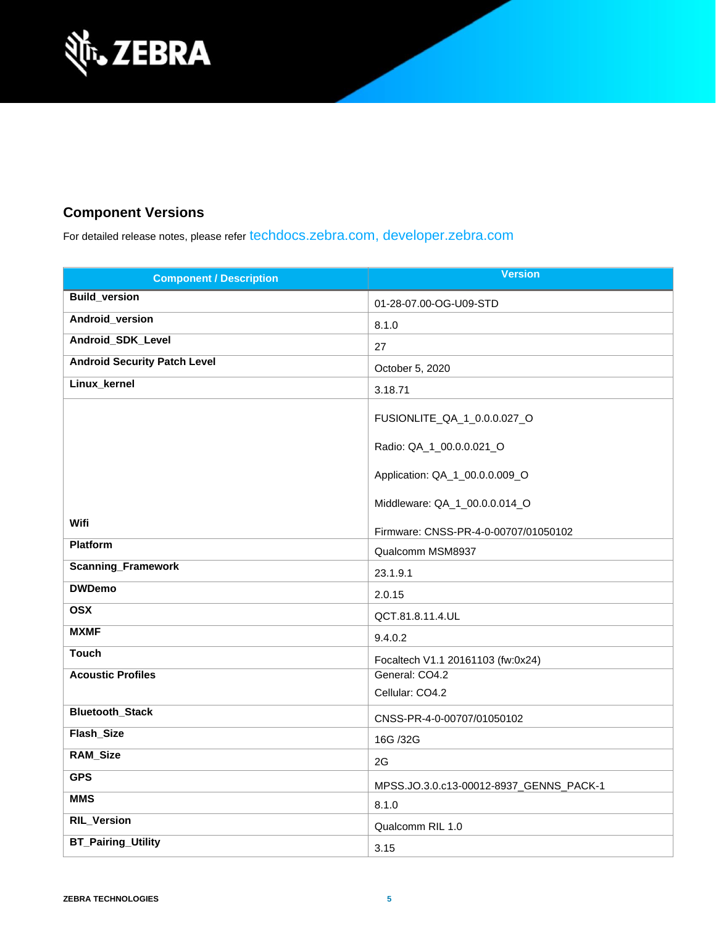

# **Component Versions**

For detailed release notes, please refer [techdocs.zebra.com,](https://techdocs.zebra.com/) [developer.zebra.com](https://developer.zebra.com/)

| <b>Component / Description</b>      | <b>Version</b>                          |
|-------------------------------------|-----------------------------------------|
| <b>Build_version</b>                | 01-28-07.00-OG-U09-STD                  |
| Android_version                     | 8.1.0                                   |
| Android_SDK_Level                   | 27                                      |
| <b>Android Security Patch Level</b> | October 5, 2020                         |
| Linux_kernel                        | 3.18.71                                 |
|                                     | FUSIONLITE_QA_1_0.0.0.027_O             |
|                                     | Radio: QA_1_00.0.0.021_O                |
|                                     | Application: QA_1_00.0.0.009_O          |
|                                     | Middleware: QA_1_00.0.0.014_O           |
| Wifi                                | Firmware: CNSS-PR-4-0-00707/01050102    |
| Platform                            | Qualcomm MSM8937                        |
| <b>Scanning_Framework</b>           | 23.1.9.1                                |
| <b>DWDemo</b>                       | 2.0.15                                  |
| <b>OSX</b>                          | QCT.81.8.11.4.UL                        |
| <b>MXMF</b>                         | 9.4.0.2                                 |
| <b>Touch</b>                        | Focaltech V1.1 20161103 (fw:0x24)       |
| <b>Acoustic Profiles</b>            | General: CO4.2                          |
|                                     | Cellular: CO4.2                         |
| <b>Bluetooth_Stack</b>              | CNSS-PR-4-0-00707/01050102              |
| Flash_Size                          | 16G /32G                                |
| <b>RAM_Size</b>                     | 2G                                      |
| <b>GPS</b>                          | MPSS.JO.3.0.c13-00012-8937_GENNS_PACK-1 |
| <b>MMS</b>                          | 8.1.0                                   |
| <b>RIL_Version</b>                  | Qualcomm RIL 1.0                        |
| <b>BT_Pairing_Utility</b>           | 3.15                                    |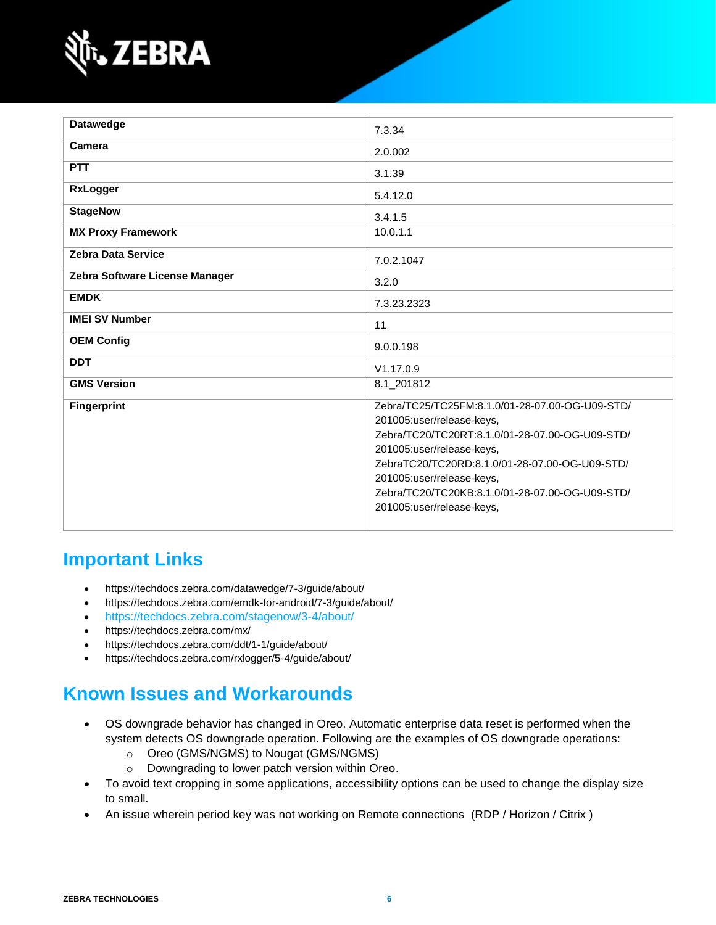

| Datawedge                      | 7.3.34                                                                                                                                                                                                                                                                                                                      |
|--------------------------------|-----------------------------------------------------------------------------------------------------------------------------------------------------------------------------------------------------------------------------------------------------------------------------------------------------------------------------|
| Camera                         | 2.0.002                                                                                                                                                                                                                                                                                                                     |
| <b>PTT</b>                     | 3.1.39                                                                                                                                                                                                                                                                                                                      |
| <b>RxLogger</b>                | 5.4.12.0                                                                                                                                                                                                                                                                                                                    |
| <b>StageNow</b>                | 3.4.1.5                                                                                                                                                                                                                                                                                                                     |
| <b>MX Proxy Framework</b>      | 10.0.1.1                                                                                                                                                                                                                                                                                                                    |
| <b>Zebra Data Service</b>      | 7.0.2.1047                                                                                                                                                                                                                                                                                                                  |
| Zebra Software License Manager | 3.2.0                                                                                                                                                                                                                                                                                                                       |
| <b>EMDK</b>                    | 7.3.23.2323                                                                                                                                                                                                                                                                                                                 |
| <b>IMEI SV Number</b>          | 11                                                                                                                                                                                                                                                                                                                          |
| <b>OEM Config</b>              | 9.0.0.198                                                                                                                                                                                                                                                                                                                   |
| <b>DDT</b>                     | V1.17.0.9                                                                                                                                                                                                                                                                                                                   |
| <b>GMS Version</b>             | 8.1_201812                                                                                                                                                                                                                                                                                                                  |
| <b>Fingerprint</b>             | Zebra/TC25/TC25FM:8.1.0/01-28-07.00-OG-U09-STD/<br>201005:user/release-keys,<br>Zebra/TC20/TC20RT:8.1.0/01-28-07.00-OG-U09-STD/<br>201005:user/release-keys,<br>ZebraTC20/TC20RD:8.1.0/01-28-07.00-OG-U09-STD/<br>201005:user/release-keys,<br>Zebra/TC20/TC20KB:8.1.0/01-28-07.00-OG-U09-STD/<br>201005:user/release-keys, |

# **Important Links**

- <https://techdocs.zebra.com/datawedge/7-3/guide/about/>
- <https://techdocs.zebra.com/emdk-for-android/7-3/guide/about/>
- <https://techdocs.zebra.com/stagenow/3-4/about/>
- <https://techdocs.zebra.com/mx/>
- <https://techdocs.zebra.com/ddt/1-1/guide/about/>
- <https://techdocs.zebra.com/rxlogger/5-4/guide/about/>

# **Known Issues and Workarounds**

- OS downgrade behavior has changed in Oreo. Automatic enterprise data reset is performed when the system detects OS downgrade operation. Following are the examples of OS downgrade operations:
	- o Oreo (GMS/NGMS) to Nougat (GMS/NGMS)
	- o Downgrading to lower patch version within Oreo.
- To avoid text cropping in some applications, accessibility options can be used to change the display size to small.
- An issue wherein period key was not working on Remote connections (RDP / Horizon / Citrix )